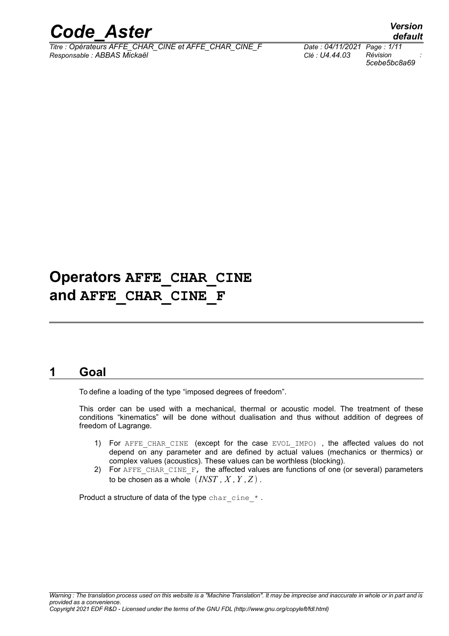

*Titre : Opérateurs AFFE\_CHAR\_CINE et AFFE\_CHAR\_CINE\_F Date : 04/11/2021 Page : 1/11 Responsable : ABBAS Mickaël Clé : U4.44.03 Révision :*

*5cebe5bc8a69*

*default*

# **Operators AFFE\_CHAR\_CINE and AFFE\_CHAR\_CINE\_F**

# **1 Goal**

To define a loading of the type "imposed degrees of freedom".

This order can be used with a mechanical, thermal or acoustic model. The treatment of these conditions "kinematics" will be done without dualisation and thus without addition of degrees of freedom of Lagrange.

- 1) For AFFE CHAR CINE (except for the case EVOL IMPO), the affected values do not depend on any parameter and are defined by actual values (mechanics or thermics) or complex values (acoustics). These values can be worthless (blocking).
- 2) For AFFE CHAR CINE  $\overline{F}$ , the affected values are functions of one (or several) parameters to be chosen as a whole  $\left( \textit{INST}, X, Y, Z \right)$ .

Product a structure of data of the type char cine  $*$ .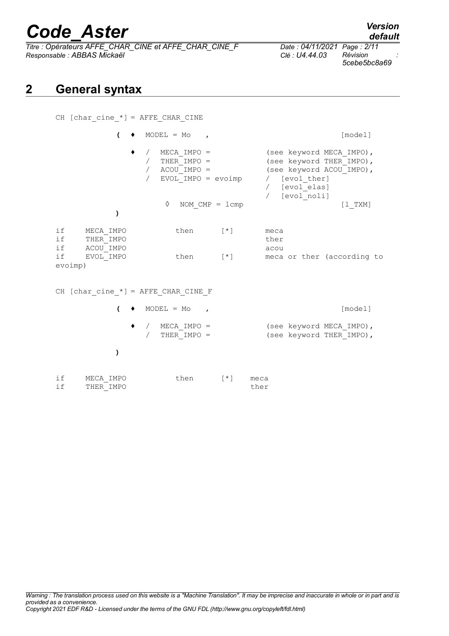*Titre : Opérateurs AFFE\_CHAR\_CINE et AFFE\_CHAR\_CINE\_F Date : 04/11/2021 Page : 2/11 Responsable : ABBAS Mickaël Clé : U4.44.03 Révision :*

**)**

THER<sup>IMPO</sup>

if MECA\_IMPO then [\*] meca<br>if THERIMPO ther ther

# **2 General syntax**

| CH [char cine $*$ ] = AFFE CHAR CINE                  |                                                                         |                                                                                                                                     |
|-------------------------------------------------------|-------------------------------------------------------------------------|-------------------------------------------------------------------------------------------------------------------------------------|
| (                                                     | $MODEL = MO$<br>$\overline{ }$                                          | [model]                                                                                                                             |
|                                                       | $MECA$ IMPO =<br>THER IMPO =<br>$ACOU$ IMPO =<br>$EVOL$ IMPO = $evoimp$ | (see keyword MECA IMPO),<br>(see keyword THER IMPO),<br>(see keyword ACOU IMPO),<br>/ [evol ther]<br>/ [evol elas]<br>/ [evol noli] |
|                                                       | ♦<br>NOM $CMP = Lcmp$                                                   | $[1$ TXM]                                                                                                                           |
|                                                       |                                                                         |                                                                                                                                     |
| if<br>MECA IMPO<br>if<br>THER IMPO<br>if<br>ACOU IMPO | then<br>$\lceil * \rceil$                                               | meca<br>ther<br>acou                                                                                                                |
| if<br>EVOL IMPO<br>evoimp)                            | then<br>$[\star]$                                                       | meca or ther (according to                                                                                                          |
| CH [char cine $*$ ] = AFFE CHAR CINE F                |                                                                         |                                                                                                                                     |
| (                                                     | $MODEL = MO$<br>$\mathbf{r}$                                            | [model]                                                                                                                             |
|                                                       | $MECA$ IMPO =<br>THER IMPO =                                            | (see keyword MECA IMPO),<br>(see keyword THER IMPO),                                                                                |

*Warning : The translation process used on this website is a "Machine Translation". It may be imprecise and inaccurate in whole or in part and is provided as a convenience. Copyright 2021 EDF R&D - Licensed under the terms of the GNU FDL (http://www.gnu.org/copyleft/fdl.html)*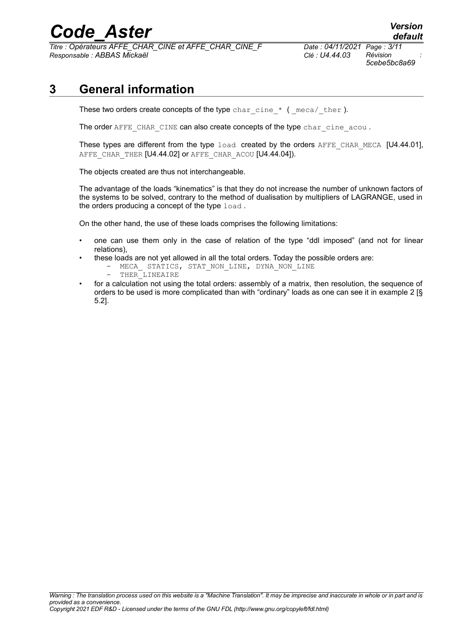*Titre : Opérateurs AFFE\_CHAR\_CINE et AFFE\_CHAR\_CINE\_F Date : 04/11/2021 Page : 3/11 Responsable : ABBAS Mickaël Clé : U4.44.03 Révision :*

*5cebe5bc8a69*

# **3 General information**

These two orders create concepts of the type char cine  $*$  ( meca/ ther ).

The order AFFE\_CHAR\_CINE can also create concepts of the type char\_cine\_acou .

These types are different from the type load created by the orders AFFE CHAR MECA [U4.44.01], AFFE\_CHAR\_THER [U4.44.02] or AFFE\_CHAR\_ACOU [U4.44.04]).

The objects created are thus not interchangeable.

The advantage of the loads "kinematics" is that they do not increase the number of unknown factors of the systems to be solved, contrary to the method of dualisation by multipliers of LAGRANGE, used in the orders producing a concept of the type load.

On the other hand, the use of these loads comprises the following limitations:

- one can use them only in the case of relation of the type "ddl imposed" (and not for linear relations),
- these loads are not yet allowed in all the total orders. Today the possible orders are:
	- MECA\_ STATICS, STAT\_NON\_LINE, DYNA\_NON\_LINE<br>- THER LINEATRE
	- THER LINEAIRE
- for a calculation not using the total orders: assembly of a matrix, then resolution, the sequence of orders to be used is more complicated than with "ordinary" loads as one can see it in example 2 [§ 5.2].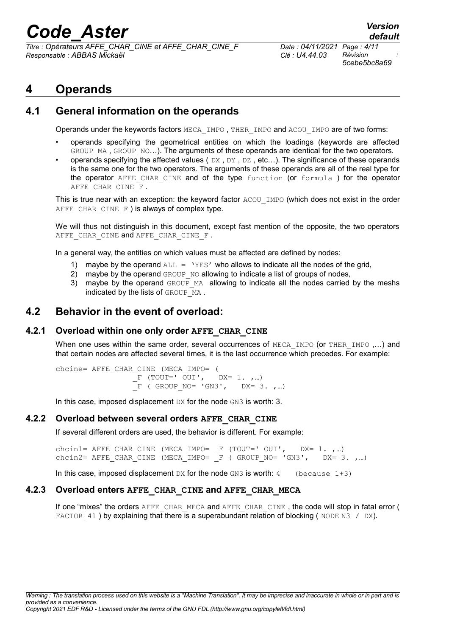*Titre : Opérateurs AFFE\_CHAR\_CINE et AFFE\_CHAR\_CINE\_F Date : 04/11/2021 Page : 4/11 Responsable : ABBAS Mickaël Clé : U4.44.03 Révision :*

*5cebe5bc8a69*

# **4 Operands**

# **4.1 General information on the operands**

Operands under the keywords factors MECA\_IMPO , THER\_IMPO and ACOU\_IMPO are of two forms:

- operands specifying the geometrical entities on which the loadings (keywords are affected GROUP MA, GROUP NO...). The arguments of these operands are identical for the two operators.
- operands specifying the affected values (DX, DY, DZ, etc...). The significance of these operands is the same one for the two operators. The arguments of these operands are all of the real type for the operator AFFE CHAR CINE and of the type function (or formula ) for the operator AFFE CHAR CINE F.

This is true near with an exception: the keyword factor ACOU IMPO (which does not exist in the order AFFE CHAR CINE  $F$  ) is always of complex type.

We will thus not distinguish in this document, except fast mention of the opposite, the two operators AFFE CHAR CINE and AFFE CHAR CINE F.

In a general way, the entities on which values must be affected are defined by nodes:

- maybe by the operand  $ALL = 'YES'$  who allows to indicate all the nodes of the grid,
- 2) maybe by the operand GROUP NO allowing to indicate a list of groups of nodes,
- 3) maybe by the operand GROUP MA allowing to indicate all the nodes carried by the meshs indicated by the lists of GROUP MA.

## **4.2 Behavior in the event of overload:**

### **4.2.1 Overload within one only order AFFE\_CHAR\_CINE**

When one uses within the same order, several occurrences of MECA\_IMPO (or THER\_IMPO ....) and that certain nodes are affected several times, it is the last occurrence which precedes. For example:

chcine= AFFE\_CHAR\_CINE (MECA\_IMPO= (  $\overline{F}$  (TOUT='  $\overline{O}$ UI', DX= 1. ,...)  $\overline{F}$  ( GROUP NO= 'GN3', DX= 3. ,…)

In this case, imposed displacement DX for the node GN3 is worth: 3.

### **4.2.2 Overload between several orders AFFE\_CHAR\_CINE**

If several different orders are used, the behavior is different. For example:

chcin1= AFFE\_CHAR\_CINE (MECA\_IMPO= \_F (TOUT=' OUI', DX= 1. ,…) chcin2= AFFE CHAR CINE (MECA IMPO=  $F$  ( GROUP NO= 'GN3', DX= 3. ,...)

In this case, imposed displacement  $DX$  for the node GN3 is worth: 4 (because  $1+3$ )

### **4.2.3 Overload enters AFFE\_CHAR\_CINE and AFFE\_CHAR\_MECA**

If one "mixes" the orders AFFE\_CHAR\_MECA and AFFE\_CHAR\_CINE, the code will stop in fatal error ( FACTOR  $41$  ) by explaining that there is a superabundant relation of blocking ( NODE N3 / DX).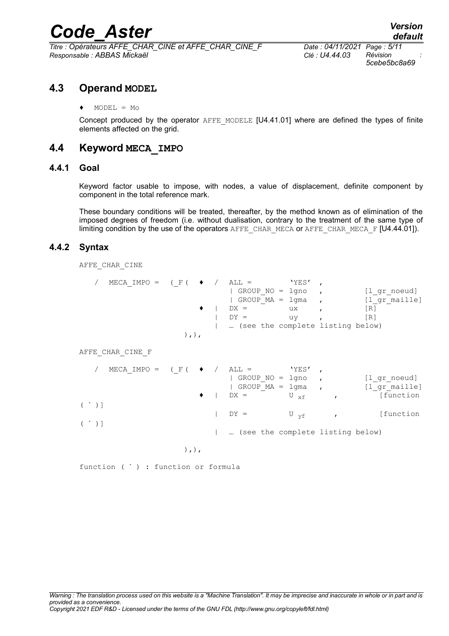*Titre : Opérateurs AFFE\_CHAR\_CINE et AFFE\_CHAR\_CINE\_F Date : 04/11/2021 Page : 5/11 Responsable : ABBAS Mickaël Clé : U4.44.03 Révision :*

*5cebe5bc8a69*

### **4.3 Operand MODEL**

♦ MODEL = Mo

Concept produced by the operator AFFE\_MODELE [U4.41.01] where are defined the types of finite elements affected on the grid.

## **4.4 Keyword MECA\_IMPO**

### **4.4.1 Goal**

Keyword factor usable to impose, with nodes, a value of displacement, definite component by component in the total reference mark.

These boundary conditions will be treated, thereafter, by the method known as of elimination of the imposed degrees of freedom (i.e. without dualisation, contrary to the treatment of the same type of limiting condition by the use of the operators AFFE\_CHAR\_MECA or AFFE\_CHAR\_MECA\_F [U4.44.01]).

### **4.4.2 Syntax**

AFFE CHAR CINE

| MECA IMPO = $( F ( \bullet / \Delta L) =$ |  |                                  | 'YES' |               |
|-------------------------------------------|--|----------------------------------|-------|---------------|
|                                           |  | GROUP NO = lgno                  |       | [l gr noeud]  |
|                                           |  | $ $ GROUP MA = $1$ qma ,         |       | [l gr maille] |
|                                           |  | $DX =$                           | ux    | IR1           |
|                                           |  | $DY =$                           | uv    | [R]           |
|                                           |  | (see the complete listing below) |       |               |
|                                           |  |                                  |       |               |

AFFE\_CHAR\_CINE\_F

|                   | / MECA IMPO = $( F ( \bullet )$ ALL = 'YES', |  | GROUP $NO = 1$ gno,<br>GROUP $MA = 1$ gma |                   | [l gr noeud]<br>[l gr maille]  |
|-------------------|----------------------------------------------|--|-------------------------------------------|-------------------|--------------------------------|
| $(\rightarrow)$ ] |                                              |  | $\bullet$   DX =                          | $U_{\text{xf}}$ , | [function                      |
| $(\rightarrow)$ ] |                                              |  | $DY =$                                    |                   | $U_{\text{vf}}$ , $[$ function |
|                   |                                              |  | (see the complete listing below)          |                   |                                |

 $),),$ 

function ( \* ) : function or formula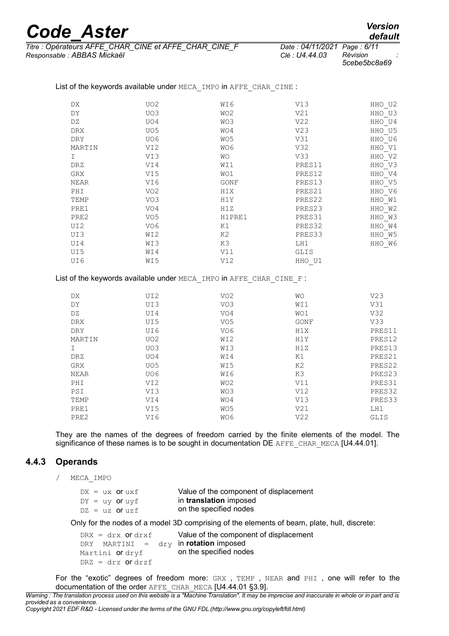| <b>Code Aster</b> | <b>Version</b> |
|-------------------|----------------|
|                   | default        |

DRZ GRX NEAR PHI TEMP PRE1 PRE2  $IIT2$ UI3 UI4 UI5 UI6

HHO\_U2  $HHO$ <sup>U3</sup>  $HHO$ <sup>U4</sup> HHO<sup>U5</sup> HHO\_U6 HHO\_V1 HHO\_V2 HHO\_V3 HHO\_V4 HHO\_V5 HHO\_V6 HHO\_W1 HHO\_W2 HHO\_W3 HHO\_W4 HHO\_W5 HHO\_W6

*Titre : Opérateurs AFFE\_CHAR\_CINE et AFFE\_CHAR\_CINE\_F Date : 04/11/2021 Page : 6/11 Responsable : ABBAS Mickaël Clé : U4.44.03 Révision :*

*default*<br>Date : 04/11/2021 Page : 6/11

PRES11 PRES12 PRES13 PRES21 PRES22 PRES23 PRES31 PRES32 PRES33 LH1 GLIS HHO\_U1

| --- - | .            |
|-------|--------------|
| 13    | Révision     |
|       | 5cebe5bc8a69 |

| DX.        | UO <sub>2</sub> | WI6       | V13             |  |
|------------|-----------------|-----------|-----------------|--|
| DY         | UO3             | WO2       | V <sub>21</sub> |  |
| DZ.        | UO4             | WO3       | V <sub>22</sub> |  |
| <b>DRX</b> | UO <sub>5</sub> | WO4       | V <sub>23</sub> |  |
| <b>DRY</b> | UO6             | WO5       | V31             |  |
| MARTIN     | VI2             | WO6       | V32             |  |
|            | VI3             | <b>WO</b> | V33             |  |

WI1 WO1 GONF H1X H1Y H1Z H1PRE1 K1 K2 K3 V11 V12

List of the keywords available under MECA\_IMPO in AFFE\_CHAR\_CINE :

VI4 VI5 VI6 VO2 VO3 VO4 VO5 VO6 WI2 WI3 WI4 WI5

| List of the keywords available under MECA IMPO in AFFE CHAR CINE F: |  |  |  |
|---------------------------------------------------------------------|--|--|--|
|                                                                     |  |  |  |

| DX          | UI2             | VO <sub>2</sub> | WΟ              | V <sub>23</sub> |
|-------------|-----------------|-----------------|-----------------|-----------------|
| DY          | UI3             | VO3             | WI1             | V31             |
| DZ          | UI4             | VO4             | WO1             | V32             |
| <b>DRX</b>  | UI5             | VO <sub>5</sub> | GONF            | V <sub>33</sub> |
| DRY         | UI6             | VO6             | H1X             | PRES11          |
| MARTIN      | UO <sub>2</sub> | WI2             | H1Y             | PRES12          |
|             | UO3             | WI3             | H1Z             | PRES13          |
| DRZ         | UO4             | WI4             | K1              | PRES21          |
| GRX         | UO <sub>5</sub> | WI5             | K2              | PRES22          |
| <b>NEAR</b> | UO6             | WI6             | K3              | PRES23          |
| PHI         | VI <sub>2</sub> | WO <sub>2</sub> | V11             | PRES31          |
| PSI         | VI3             | WO3             | V12             | PRES32          |
| TEMP        | VI4             | WO4             | V13             | PRES33          |
| PRE1        | VI5             | WO <sub>5</sub> | V21             | LH1             |
| PRE2        | VI6             | WO6             | V <sub>22</sub> | GLIS            |

They are the names of the degrees of freedom carried by the finite elements of the model. The significance of these names is to be sought in documentation DE AFFE CHAR MECA  $[U4.44.01]$ .

### **4.4.3 Operands**

/ MECA\_IMPO

|  | $DX = ux$ or $uxf$      | Value of the component of displacement |
|--|-------------------------|----------------------------------------|
|  | $DY = uy$ or $uvf$      | in translation imposed                 |
|  | $DZ = uz$ <b>Of</b> uzf | on the specified nodes                 |

Only for the nodes of a model 3D comprising of the elements of beam, plate, hull, discrete:

| $DRX = drx$ Of drxf                   | Value of the component of displacement |
|---------------------------------------|----------------------------------------|
| DRY MARTINI = dry in rotation imposed |                                        |
| Martini <b>or</b> dryf                | on the specified nodes                 |
| $DRZ = drz$ or drzf                   |                                        |

For the "exotic" degrees of freedom more: GRX, TEMP, NEAR and PHI, one will refer to the documentation of the order AFFE\_CHAR\_MECA [U4.44.01 §3.9].

*Warning : The translation process used on this website is a "Machine Translation". It may be imprecise and inaccurate in whole or in part and is provided as a convenience.*

*Copyright 2021 EDF R&D - Licensed under the terms of the GNU FDL (http://www.gnu.org/copyleft/fdl.html)*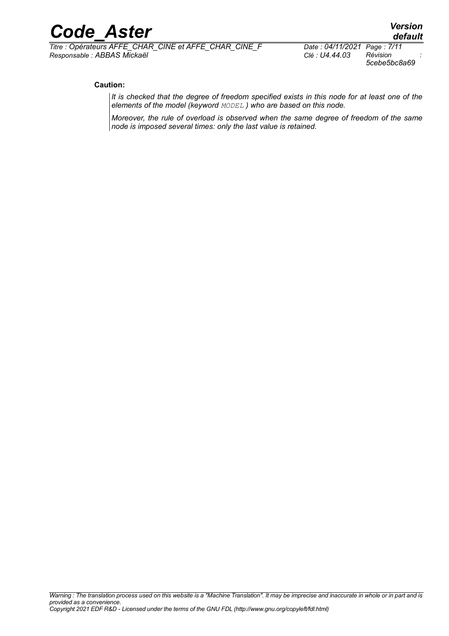*Titre : Opérateurs AFFE\_CHAR\_CINE et AFFE\_CHAR\_CINE\_F Date : 04/11/2021 Page : 7/11 Responsable : ABBAS Mickaël Clé : U4.44.03 Révision :*

*5cebe5bc8a69*

#### **Caution:**

*It is checked that the degree of freedom specified exists in this node for at least one of the elements of the model (keyword MODEL ) who are based on this node.*

*Moreover, the rule of overload is observed when the same degree of freedom of the same node is imposed several times: only the last value is retained.*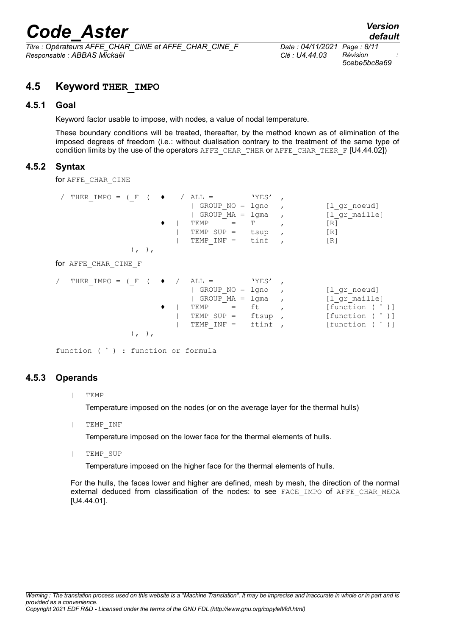*Titre : Opérateurs AFFE\_CHAR\_CINE et AFFE\_CHAR\_CINE\_F Date : 04/11/2021 Page : 8/11 Responsable : ABBAS Mickaël Clé : U4.44.03 Révision :*

*5cebe5bc8a69*

## **4.5 Keyword THER\_IMPO**

### **4.5.1 Goal**

Keyword factor usable to impose, with nodes, a value of nodal temperature.

These boundary conditions will be treated, thereafter, by the method known as of elimination of the imposed degrees of freedom (i.e.: without dualisation contrary to the treatment of the same type of condition limits by the use of the operators  $A$  FFE\_CHAR\_THER or AFFE\_CHAR\_THER\_F [U4.44.02])

### **4.5.2 Syntax**

for AFFE\_CHAR\_CINE

| THER IMPO = (F<br>$), \,$<br>for AFFE CHAR CINE F | $ALL =$<br>GROUP $NO = 1$ gno<br>GROUP MA<br>$=$<br>TEMP<br>TEMP SUP $=$<br>TEMP $INF =$   | 'YES'<br>lgma<br>Т<br>tsup<br>tinf            | [1 gr noeud]<br>[l gr maille]<br>[R]<br>[R]<br>[R]                                        |
|---------------------------------------------------|--------------------------------------------------------------------------------------------|-----------------------------------------------|-------------------------------------------------------------------------------------------|
| THER IMPO =<br>( F                                | $ALL =$<br>GROUP NO<br>$=$<br>GROUP MA<br>$=$<br>TEMP<br>=<br>TEMP SUP $=$<br>TEMP $INF =$ | 'YES'<br>lgno<br>lgma<br>ft<br>ftsup<br>ftinf | [l gr noeud]<br>[l gr maille]<br>[function ( * )]<br>[function ( * )]<br>[function ( * )] |

function ( \* ) : function or formula

### **4.5.3 Operands**

| TEMP

Temperature imposed on the nodes (or on the average layer for the thermal hulls)

| TEMP\_INF

Temperature imposed on the lower face for the thermal elements of hulls.

| TEMP\_SUP

Temperature imposed on the higher face for the thermal elements of hulls.

For the hulls, the faces lower and higher are defined, mesh by mesh, the direction of the normal external deduced from classification of the nodes: to see FACE\_IMPO of AFFE\_CHAR\_MECA [U4.44.01].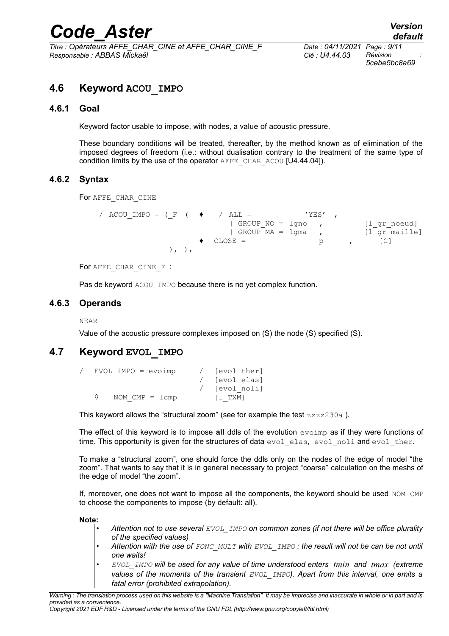*Titre : Opérateurs AFFE\_CHAR\_CINE et AFFE\_CHAR\_CINE\_F Date : 04/11/2021 Page : 9/11 Responsable : ABBAS Mickaël Clé : U4.44.03 Révision :*

*5cebe5bc8a69*

# **4.6 Keyword ACOU\_IMPO**

#### **4.6.1 Goal**

Keyword factor usable to impose, with nodes, a value of acoustic pressure.

These boundary conditions will be treated, thereafter, by the method known as of elimination of the imposed degrees of freedom (i.e.: without dualisation contrary to the treatment of the same type of condition limits by the use of the operator AFFE\_CHAR\_ACOU [U4.44.04]).

### **4.6.2 Syntax**

For AFFE\_CHAR\_CINE

```
/ ACOU IMPO = ( F ( \bullet / ALL = 'YES' ,
                     | GROUP NO = lgno , [l gr noeud]
                    | GROUP MA = lgma , [1]gr maille]
               \bullet CLOSE = p , [C]), ),
```
For AFFE CHAR CINE F :

Pas de keyword ACOU IMPO because there is no yet complex function.

### **4.6.3 Operands**

NEAR

Value of the acoustic pressure complexes imposed on (S) the node (S) specified (S).

## **4.7 Keyword EVOL\_IMPO**

|  | $EVOL$ IMPO = $evoimp$ | [evol ther] |
|--|------------------------|-------------|
|  |                        | [evol elas] |
|  |                        | [evol noli] |
|  | NOM $CMP = Lcmp$       | II TXMI     |

This keyword allows the "structural zoom" (see for example the test  $zzzzz230a$ ).

The effect of this keyword is to impose **all** ddls of the evolution evoimp as if they were functions of time. This opportunity is given for the structures of data evol elas, evol noli and evol ther.

To make a "structural zoom", one should force the ddls only on the nodes of the edge of model "the zoom". That wants to say that it is in general necessary to project "coarse" calculation on the meshs of the edge of model "the zoom".

If, moreover, one does not want to impose all the components, the keyword should be used NOM CMP to choose the components to impose (by default: all).

**Note:**

- *Attention not to use several EVOL\_IMPO on common zones (if not there will be office plurality of the specified values)*
- *Attention with the use of FONC\_MULT with EVOL\_IMPO : the result will not be can be not until one waits!*
- *EVOL\_IMPO will be used for any value of time understood enters tmin and tmax (extreme values of the moments of the transient EVOL\_IMPO). Apart from this interval, one emits a fatal error (prohibited extrapolation).*

*Copyright 2021 EDF R&D - Licensed under the terms of the GNU FDL (http://www.gnu.org/copyleft/fdl.html)*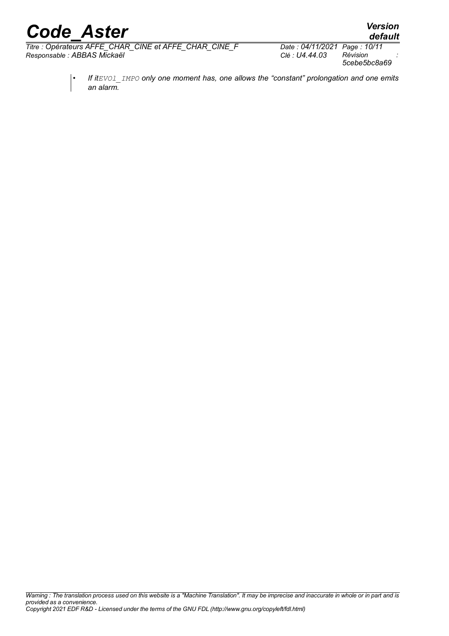*Titre : Opérateurs AFFE\_CHAR\_CINE et AFFE\_CHAR\_CINE\_F Date : 04/11/2021 Page : 10/11 Responsable : ABBAS Mickaël Clé : U4.44.03 Révision :*

*5cebe5bc8a69*

*default*

• *If itEVOl\_IMPO only one moment has, one allows the "constant" prolongation and one emits an alarm.*